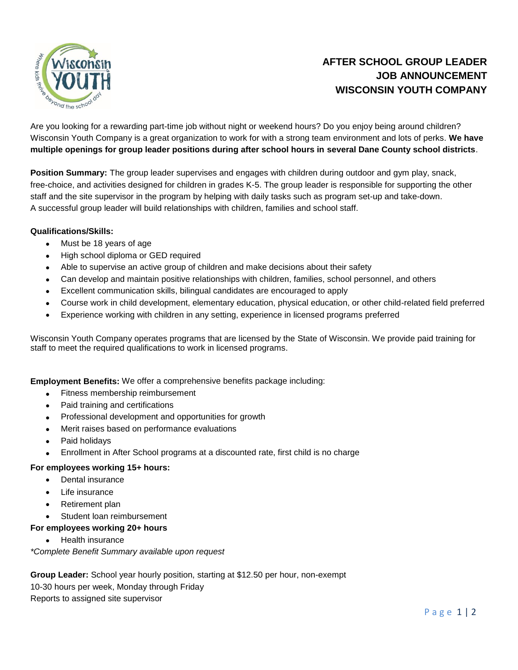

# **AFTER SCHOOL GROUP LEADER JOB ANNOUNCEMENT WISCONSIN YOUTH COMPANY**

Are you looking for a rewarding part-time job without night or weekend hours? Do you enjoy being around children? Wisconsin Youth Company is a great organization to work for with a strong team environment and lots of perks. **We have multiple openings for group leader positions during after school hours in several Dane County school districts**.

**Position Summary:** The group leader supervises and engages with children during outdoor and gym play, snack, free-choice, and activities designed for children in grades K-5. The group leader is responsible for supporting the other staff and the site supervisor in the program by helping with daily tasks such as program set-up and take-down. A successful group leader will build relationships with children, families and school staff.

## **Qualifications/Skills:**

- Must be 18 years of age
- High school diploma or GED required
- Able to supervise an active group of children and make decisions about their safety
- Can develop and maintain positive relationships with children, families, school personnel, and others
- Excellent communication skills, bilingual candidates are encouraged to apply
- Course work in child development, elementary education, physical education, or other child-related field preferred
- Experience working with children in any setting, experience in licensed programs preferred

Wisconsin Youth Company operates programs that are licensed by the State of Wisconsin. We provide paid training for staff to meet the required qualifications to work in licensed programs.

**Employment Benefits:** We offer a comprehensive benefits package including:

- Fitness membership reimbursement
- Paid training and certifications
- Professional development and opportunities for growth
- Merit raises based on performance evaluations
- Paid holidays
- Enrollment in After School programs at a discounted rate, first child is no charge

#### **For employees working 15+ hours:**

- Dental insurance
- Life insurance
- Retirement plan
- Student loan reimbursement
- **For employees working 20+ hours**
	- Health insurance

*\*Complete Benefit Summary available upon request*

**Group Leader:** School year hourly position, starting at \$12.50 per hour, non-exempt 10-30 hours per week, Monday through Friday Reports to assigned site supervisor